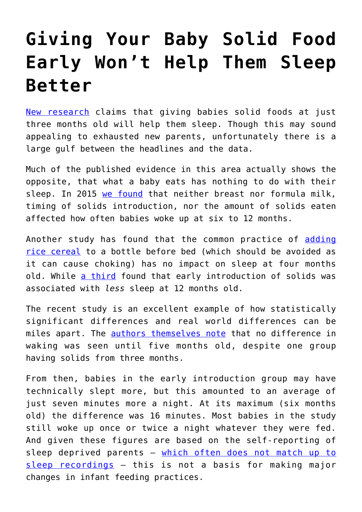## **[Giving Your Baby Solid Food](https://intellectualtakeout.org/2018/07/giving-your-baby-solid-food-early-wont-help-them-sleep-better/) [Early Won't Help Them Sleep](https://intellectualtakeout.org/2018/07/giving-your-baby-solid-food-early-wont-help-them-sleep-better/) [Better](https://intellectualtakeout.org/2018/07/giving-your-baby-solid-food-early-wont-help-them-sleep-better/)**

[New research](https://www.theguardian.com/lifeandstyle/2018/jul/09/feeding-baby-solids-early-may-help-them-sleep-study) claims that giving babies solid foods at just three months old will help them sleep. Though this may sound appealing to exhausted new parents, unfortunately there is a large gulf between the headlines and the data.

Much of the published evidence in this area actually shows the opposite, that what a baby eats has nothing to do with their sleep. In 2015 [we found](https://www.ncbi.nlm.nih.gov/pubmed/25973527) that neither breast nor formula milk, timing of solids introduction, nor the amount of solids eaten affected how often babies woke up at six to 12 months.

Another study has found that the common practice of [adding](https://jamanetwork.com/journals/jamapediatrics/article-abstract/514762) [rice cereal](https://jamanetwork.com/journals/jamapediatrics/article-abstract/514762) to a bottle before bed (which should be avoided as it can cause choking) has no impact on sleep at four months old. While [a third](https://www.ncbi.nlm.nih.gov/pmc/articles/PMC2866807/) found that early introduction of solids was associated with *less* sleep at 12 months old.

The recent study is an excellent example of how statistically significant differences and real world differences can be miles apart. The **authors themselves note** that no difference in waking was seen until five months old, despite one group having solids from three months.

From then, babies in the early introduction group may have technically slept more, but this amounted to an average of just seven minutes more a night. At its maximum (six months old) the difference was 16 minutes. Most babies in the study still woke up once or twice a night whatever they were fed. And given these figures are based on the self-reporting of sleep deprived parents – [which often does not match up to](https://www.sciencedirect.com/science/article/pii/S1389945718303204) [sleep recordings](https://www.sciencedirect.com/science/article/pii/S1389945718303204) – this is not a basis for making major changes in infant feeding practices.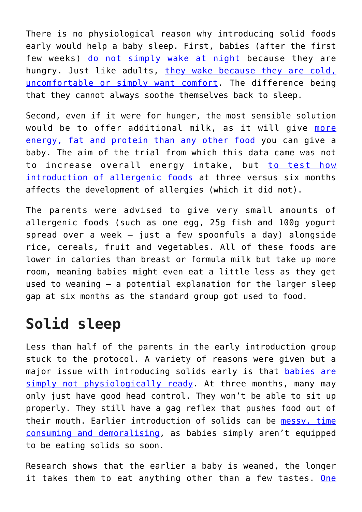There is no physiological reason why introducing solid foods early would help a baby sleep. First, babies (after the first few weeks) [do not simply wake at night](https://www.huffingtonpost.co.uk/amy-brown/does-anyone-really-sleep-_b_16971544.html) because they are hungry. Just like adults, [they wake because they are cold,](https://www.isisonline.org.uk/how_babies_sleep/) [uncomfortable or simply want comfort.](https://www.isisonline.org.uk/how_babies_sleep/) The difference being that they cannot always soothe themselves back to sleep.

Second, even if it were for hunger, the most sensible solution would be to offer additional milk, as it will give [more](https://kellymom.com/nutrition/starting-solids/babyfoodcalories/) [energy, fat and protein than any other food](https://kellymom.com/nutrition/starting-solids/babyfoodcalories/) you can give a baby. The aim of the trial from which this data came was not to increase overall energy intake, but [to test how](https://www.food.gov.uk/sites/default/files/media/document/eat-study-full-report.pdf) [introduction of allergenic foods](https://www.food.gov.uk/sites/default/files/media/document/eat-study-full-report.pdf) at three versus six months affects the development of allergies (which it did not).

The parents were advised to give very small amounts of allergenic foods (such as one egg, 25g fish and 100g yogurt spread over a week – just a few spoonfuls a day) alongside rice, cereals, fruit and vegetables. All of these foods are lower in calories than breast or formula milk but take up more room, meaning babies might even eat a little less as they get used to weaning – a potential explanation for the larger sleep gap at six months as the standard group got used to food.

## **Solid sleep**

Less than half of the parents in the early introduction group stuck to the protocol. A variety of reasons were given but a major issue with introducing solids early is that [babies are](https://kellymom.com/nutrition/starting-solids/solids-when/) [simply not physiologically ready.](https://kellymom.com/nutrition/starting-solids/solids-when/) At three months, many may only just have good head control. They won't be able to sit up properly. They still have a gag reflex that pushes food out of their mouth. Earlier introduction of solids can be [messy, time](https://www.ncbi.nlm.nih.gov/pubmed/21143584) [consuming and demoralising,](https://www.ncbi.nlm.nih.gov/pubmed/21143584) as babies simply aren't equipped to be eating solids so soon.

Research shows that the earlier a baby is weaned, the longer it takes them to eat anything other than a few tastes. [One](https://onlinelibrary.wiley.com/doi/epdf/10.1111/j.1651-2227.2001.tb00785.x)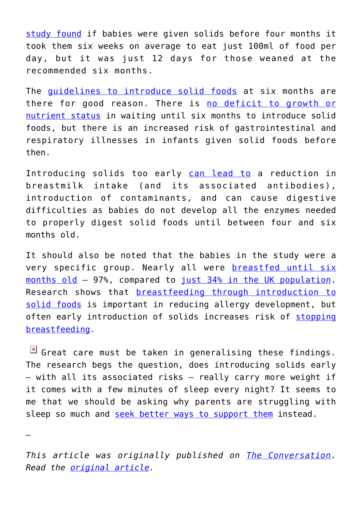[study found](https://onlinelibrary.wiley.com/doi/epdf/10.1111/j.1651-2227.2001.tb00785.x) if babies were given solids before four months it took them six weeks on average to eat just 100ml of food per day, but it was just 12 days for those weaned at the recommended six months.

The [guidelines to introduce solid foods](https://static1.squarespace.com/static/59f75004f09ca48694070f3b/t/5a5a41479140b7e31a75ccbc/1515864404727/Eating_well_the_first_year_Sep_17_small.pdf) at six months are there for good reason. There is [no deficit to growth or](https://www.ncbi.nlm.nih.gov/pubmed/22895934) [nutrient status](https://www.ncbi.nlm.nih.gov/pubmed/22895934) in waiting until six months to introduce solid foods, but there is an increased risk of gastrointestinal and respiratory illnesses in infants given solid foods before then.

Introducing solids too early [can lead to](https://files.eric.ed.gov/fulltext/ED479275.pdf) a reduction in breastmilk intake (and its associated antibodies), introduction of contaminants, and can cause digestive difficulties as babies do not develop all the enzymes needed to properly digest solid foods until between four and six months old.

It should also be noted that the babies in the study were a very specific group. Nearly all were **[breastfed until six](https://www.nejm.org/doi/full/10.1056/NEJMoa1514210)** [months old](https://www.nejm.org/doi/full/10.1056/NEJMoa1514210) – 97%, compared to [just 34% in the UK population.](https://digital.nhs.uk/data-and-information/publications/statistical/infant-feeding-survey/infant-feeding-survey-uk-2010) Research shows that [breastfeeding through introduction to](https://onlinelibrary.wiley.com/doi/abs/10.1111/apt.12023) [solid foods](https://onlinelibrary.wiley.com/doi/abs/10.1111/apt.12023) is important in reducing allergy development, but often early introduction of solids increases risk of [stopping](https://onlinelibrary.wiley.com/doi/abs/10.1111/mcn.12166) [breastfeeding](https://onlinelibrary.wiley.com/doi/abs/10.1111/mcn.12166).

 $\boxed{\times}$  Great care must be taken in generalising these findings. The research begs the question, does introducing solids early – with all its associated risks – really carry more weight if it comes with a few minutes of sleep every night? It seems to me that we should be asking why parents are struggling with sleep so much and [seek better ways to support them](https://www.ncbi.nlm.nih.gov/pubmed/28744924) instead.

*—*

*This article was originally published on [The Conversation.](http://theconversation.com) Read the [original article.](https://theconversation.com/giving-your-baby-solid-food-early-wont-help-them-sleep-better-99645)*